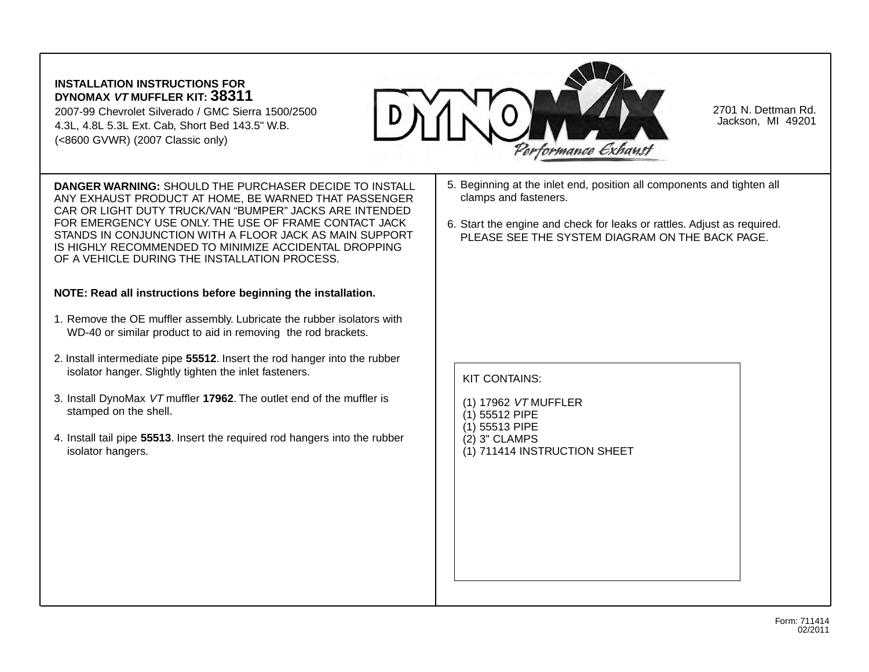## **INSTALLATION INSTRUCTIONS FOR DYNOMAX VT MUFFLER KIT: 38311**

2007-99 Chevrolet Silverado / GMC Sierra 1500/2500 4.3L, 4.8L 5.3L Ext. Cab, Short Bed 143.5" W.B. (<8600 GVWR) (2007 Classic only)



2701 N. Dettman Rd. Jackson, MI 49201

**DANGER WARNING:** SHOULD THE PURCHASER DECIDE TO INSTALL ANY EXHAUST PRODUCT AT HOME, BE WARNED THAT PASSENGER CAR OR LIGHT DUTY TRUCK/VAN "BUMPER" JACKS ARE INTENDED FOR EMERGENCY USE ONLY. THE USE OF FRAME CONTACT JACK STANDS IN CONJUNCTION WITH A FLOOR JACK AS MAIN SUPPORT IS HIGHLY RECOMMENDED TO MINIMIZE ACCIDENTAL DROPPING OF A VEHICLE DURING THE INSTALLATION PROCESS.

## **NOTE: Read all instructions before beginning the installation.**

- 1. Remove the OE muffler assembly. Lubricate the rubber isolators with WD-40 or similar product to aid in removing the rod brackets.
- 2. Install intermediate pipe **55512**. Insert the rod hanger into the rubber isolator hanger. Slightly tighten the inlet fasteners.
- 3. Install DynoMax VT muffler **17962**. The outlet end of the muffler is stamped on the shell.
- 4. Install tail pipe **55513**. Insert the required rod hangers into the rubber isolator hangers.
- 5. Beginning at the inlet end, position all components and tighten all clamps and fasteners.
- 6. Start the engine and check for leaks or rattles. Adjust as required. PLEASE SEE THE SYSTEM DIAGRAM ON THE BACK PAGE.

## KIT CONTAINS:

- (1) 17962 VT MUFFLER
- (1) 55512 PIPE
- (1) 55513 PIPE
- (2) 3" CLAMPS
- (1) 711414 INSTRUCTION SHEET